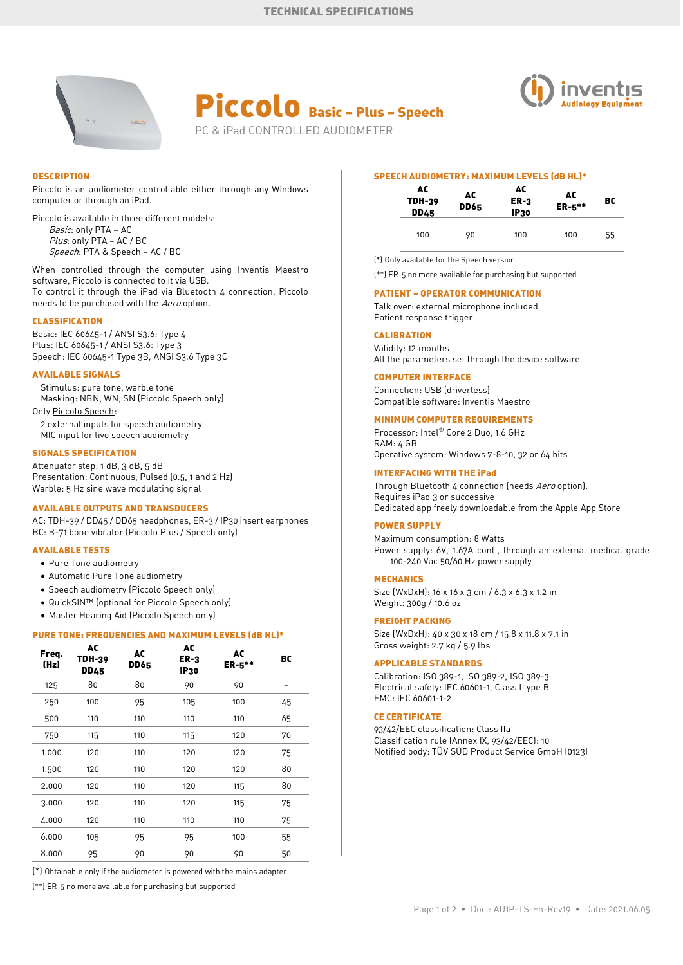





### **DESCRIPTION**

Piccolo is an audiometer controllable either through any Windows computer or through an iPad.

Piccolo is available in three different models: Basic: only PTA - AC Plus: only PTA - AC / BC Speech: PTA & Speech - AC / BC

When controlled through the computer using Inventis Maestro software, Piccolo is connected to it via USB. To control it through the iPad via Bluetooth 4 connection, Piccolo needs to be purchased with the Aero option.

### **CLASSIFICATION**

Basic: IEC 60645-1 / ANSI S3.6: Type 4 Plus: IEC 60645-1 / ANSI S3.6: Type 3 Speech: IEC 60645-1 Type 3B, ANSI S3.6 Type 3C

## **AVAILABLE SIGNALS**

Stimulus: pure tone, warble tone Masking: NBN, WN, SN (Piccolo Speech only) Only Piccolo Speech:

2 external inputs for speech audiometry MIC input for live speech audiometry

#### **SIGNALS SPECIFICATION**

Attenuator step: 1 dB, 3 dB, 5 dB Presentation: Continuous, Pulsed (0.5, 1 and 2 Hz) Warble: 5 Hz sine wave modulating signal

### **AVAILABLE OUTPUTS AND TRANSDUCERS**

AC: TDH-39 / DD45 / DD65 headphones, ER-3 / IP30 insert earphones BC: B-71 bone vibrator (Piccolo Plus / Speech only)

## **AVAILABLE TESTS**

- Pure Tone audiometry
- Automatic Pure Tone audiometry
- Speech audiometry (Piccolo Speech only)
- QuickSIN™ (optional for Piccolo Speech only)
- Master Hearing Aid (Piccolo Speech only)

## **PURE TONE: FREQUENCIES AND MAXIMUM LEVELS (dB HL)\***

| Freq.<br>(Hz) | AC<br><b>TDH-39</b><br><b>DD45</b> | AC<br><b>DD65</b> | AC<br>$ER-3$<br><b>IP30</b> | AC<br>$ER-5***$ | BC |
|---------------|------------------------------------|-------------------|-----------------------------|-----------------|----|
| 125           | 80                                 | 80                | 90                          | 90              | -  |
| 250           | 100                                | 95                | 105                         | 100             | 45 |
| 500           | 110                                | 110               | 110                         | 110             | 65 |
| 750           | 115                                | 110               | 115                         | 120             | 70 |
| 1.000         | 120                                | 110               | 120                         | 120             | 75 |
| 1.500         | 120                                | 110               | 120                         | 120             | 80 |
| 2.000         | 120                                | 110               | 120                         | 115             | 80 |
| 3.000         | 120                                | 110               | 120                         | 115             | 75 |
| 4.000         | 120                                | 110               | 110                         | 110             | 75 |
| 6.000         | 105                                | 95                | 95                          | 100             | 55 |
| 8.000         | 95                                 | 90                | 90                          | 90              | 50 |

(\*) Obtainable only if the audiometer is powered with the mains adapter

(\*\*) ER-5 no more available for purchasing but supported

#### **SPEECH AUDIOMETRY: MAXIMUM LEVELS (dB HL)\***

| AC<br><b>TDH-39</b><br><b>DD45</b> | AC<br><b>DD65</b> | AC<br>$ER-3$<br><b>IP30</b> | AC<br>ER-5** | вc |
|------------------------------------|-------------------|-----------------------------|--------------|----|
| 100                                | 90                | 100                         | 100          | 55 |

(\*) Only available for the Speech version.

(\*\*) ER-5 no more available for purchasing but supported

### **PATIENT – OPERATOR COMMUNICATION**

Talk over: external microphone included Patient response trigger

# **CALIBRATION**

Validity: 12 months All the parameters set through the device software

# **COMPUTER INTERFACE**

Connection: USB (driverless) Compatible software: Inventis Maestro

# **MINIMUM COMPUTER REQUIREMENTS**

Processor: Intel® Core 2 Duo, 1.6 GHz RAM: 4 GB Operative system: Windows 7-8-10, 32 or 64 bits

### **INTERFACING WITH THE iPad**

Through Bluetooth 4 connection (needs Aero option). Requires iPad 3 or successive Dedicated app freely downloadable from the Apple App Store

# **POWER SUPPLY**

Maximum consumption: 8 Watts Power supply: 6V, 1.67A cont., through an external medical grade 100-240 Vac 50/60 Hz power supply

#### **MECHANICS**

Size (WxDxH): 16 x 16 x 3 cm / 6.3 x 6.3 x 1.2 in Weight: 300g / 10.6 oz

### **FREIGHT PACKING**

Size (WxDxH): 40 x 30 x 18 cm / 15.8 x 11.8 x 7.1 in Gross weight: 2.7 kg / 5.9 lbs

#### **APPLICABLE STANDARDS**

Calibration: ISO 389-1, ISO 389-2, ISO 389-3 Electrical safety: IEC 60601-1, Class I type B EMC: IEC 60601-1-2

#### **CE CERTIFICATE**

93/42/EEC classification: Class IIa Classification rule (Annex IX, 93/42/EEC): 10 Notified body: TÜV SÜD Product Service GmbH (0123)